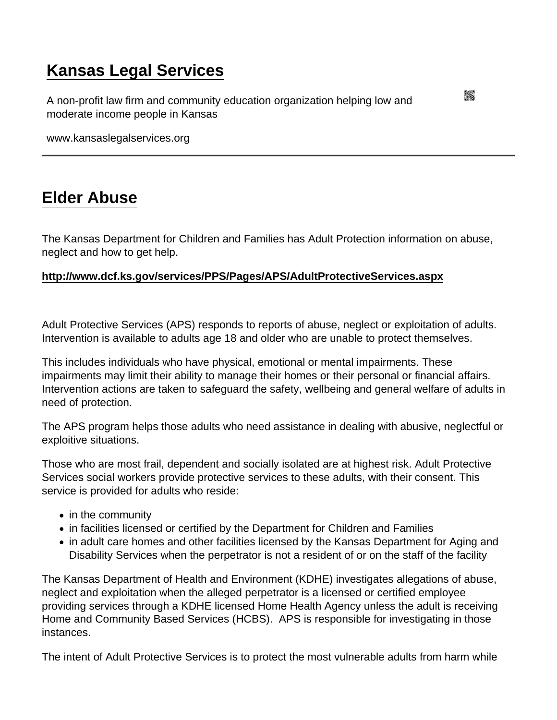## [Kansas Legal Services](https://www.kansaslegalservices.org/)

A non-profit law firm and community education organization helping low and moderate income people in Kansas

www.kansaslegalservices.org

## [Elder Abuse](https://www.kansaslegalservices.org/node/180/elder-abuse)

The Kansas Department for Children and Families has Adult Protection information on abuse, neglect and how to get help.

<http://www.dcf.ks.gov/services/PPS/Pages/APS/AdultProtectiveServices.aspx>

Adult Protective Services (APS) responds to reports of abuse, neglect or exploitation of adults. Intervention is available to adults age 18 and older who are unable to protect themselves.

This includes individuals who have physical, emotional or mental impairments. These impairments may limit their ability to manage their homes or their personal or financial affairs. Intervention actions are taken to safeguard the safety, wellbeing and general welfare of adults in need of protection.

The APS program helps those adults who need assistance in dealing with abusive, neglectful or exploitive situations.

Those who are most frail, dependent and socially isolated are at highest risk. Adult Protective Services social workers provide protective services to these adults, with their consent. This service is provided for adults who reside:

- in the community
- in facilities licensed or certified by the Department for Children and Families
- in adult care homes and other facilities licensed by the Kansas Department for Aging and Disability Services when the perpetrator is not a resident of or on the staff of the facility

The Kansas Department of Health and Environment (KDHE) investigates allegations of abuse, neglect and exploitation when the alleged perpetrator is a licensed or certified employee providing services through a KDHE licensed Home Health Agency unless the adult is receiving Home and Community Based Services (HCBS). APS is responsible for investigating in those instances.

The intent of Adult Protective Services is to protect the most vulnerable adults from harm while